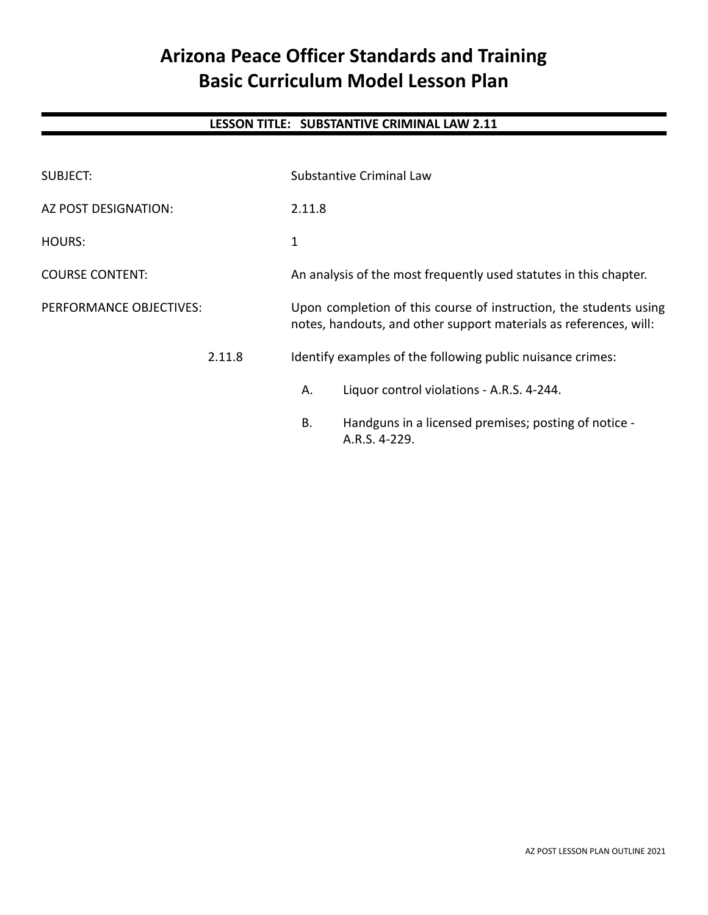# **Arizona Peace Officer Standards and Training Basic Curriculum Model Lesson Plan**

# **LESSON TITLE: SUBSTANTIVE CRIMINAL LAW 2.11**

| <b>SUBJECT:</b>         | Substantive Criminal Law                                                                                                               |  |
|-------------------------|----------------------------------------------------------------------------------------------------------------------------------------|--|
| AZ POST DESIGNATION:    | 2.11.8                                                                                                                                 |  |
| HOURS:                  | 1                                                                                                                                      |  |
| <b>COURSE CONTENT:</b>  | An analysis of the most frequently used statutes in this chapter.                                                                      |  |
| PERFORMANCE OBJECTIVES: | Upon completion of this course of instruction, the students using<br>notes, handouts, and other support materials as references, will: |  |
| 2.11.8                  | Identify examples of the following public nuisance crimes:                                                                             |  |
|                         | Liquor control violations - A.R.S. 4-244.<br>А.                                                                                        |  |
|                         | Handguns in a licensed premises; posting of notice -<br><b>B.</b><br>A.R.S. 4-229.                                                     |  |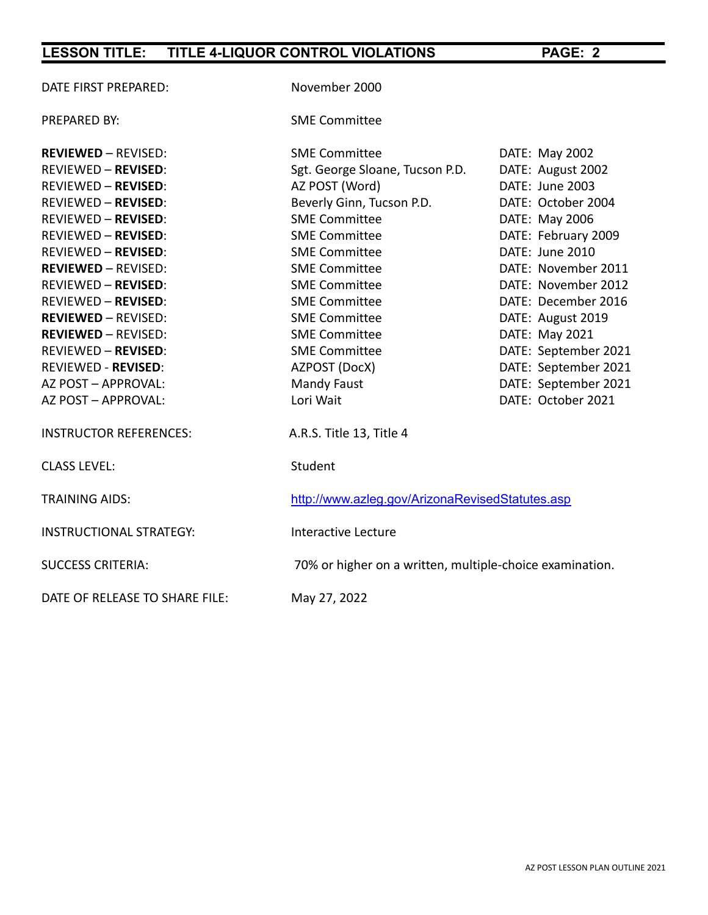| DATE FIRST PREPARED:           | November 2000                                   |                                                          |  |  |
|--------------------------------|-------------------------------------------------|----------------------------------------------------------|--|--|
| <b>PREPARED BY:</b>            | <b>SME Committee</b>                            |                                                          |  |  |
| <b>REVIEWED - REVISED:</b>     | <b>SME Committee</b>                            | DATE: May 2002                                           |  |  |
| <b>REVIEWED - REVISED:</b>     | Sgt. George Sloane, Tucson P.D.                 | DATE: August 2002                                        |  |  |
| <b>REVIEWED - REVISED:</b>     | AZ POST (Word)                                  | DATE: June 2003                                          |  |  |
| <b>REVIEWED - REVISED:</b>     | Beverly Ginn, Tucson P.D.                       | DATE: October 2004                                       |  |  |
| <b>REVIEWED - REVISED:</b>     | <b>SME Committee</b>                            | DATE: May 2006                                           |  |  |
| <b>REVIEWED - REVISED:</b>     | <b>SME Committee</b>                            | DATE: February 2009                                      |  |  |
| <b>REVIEWED - REVISED:</b>     | <b>SME Committee</b>                            | DATE: June 2010                                          |  |  |
| <b>REVIEWED - REVISED:</b>     | <b>SME Committee</b>                            | DATE: November 2011                                      |  |  |
| <b>REVIEWED - REVISED:</b>     | <b>SME Committee</b>                            | DATE: November 2012                                      |  |  |
| <b>REVIEWED - REVISED:</b>     | <b>SME Committee</b>                            | DATE: December 2016                                      |  |  |
| <b>REVIEWED - REVISED:</b>     | <b>SME Committee</b>                            | DATE: August 2019                                        |  |  |
| <b>REVIEWED - REVISED:</b>     | <b>SME Committee</b>                            | DATE: May 2021                                           |  |  |
| <b>REVIEWED - REVISED:</b>     | <b>SME Committee</b>                            | DATE: September 2021                                     |  |  |
| <b>REVIEWED - REVISED:</b>     | AZPOST (DocX)                                   | DATE: September 2021                                     |  |  |
| AZ POST - APPROVAL:            | <b>Mandy Faust</b>                              | DATE: September 2021                                     |  |  |
| AZ POST - APPROVAL:            | Lori Wait                                       | DATE: October 2021                                       |  |  |
| <b>INSTRUCTOR REFERENCES:</b>  | A.R.S. Title 13, Title 4                        |                                                          |  |  |
| <b>CLASS LEVEL:</b>            | Student                                         |                                                          |  |  |
| <b>TRAINING AIDS:</b>          | http://www.azleg.gov/ArizonaRevisedStatutes.asp |                                                          |  |  |
| <b>INSTRUCTIONAL STRATEGY:</b> | Interactive Lecture                             |                                                          |  |  |
| <b>SUCCESS CRITERIA:</b>       |                                                 | 70% or higher on a written, multiple-choice examination. |  |  |
| DATE OF RELEASE TO SHARE FILE: | May 27, 2022                                    |                                                          |  |  |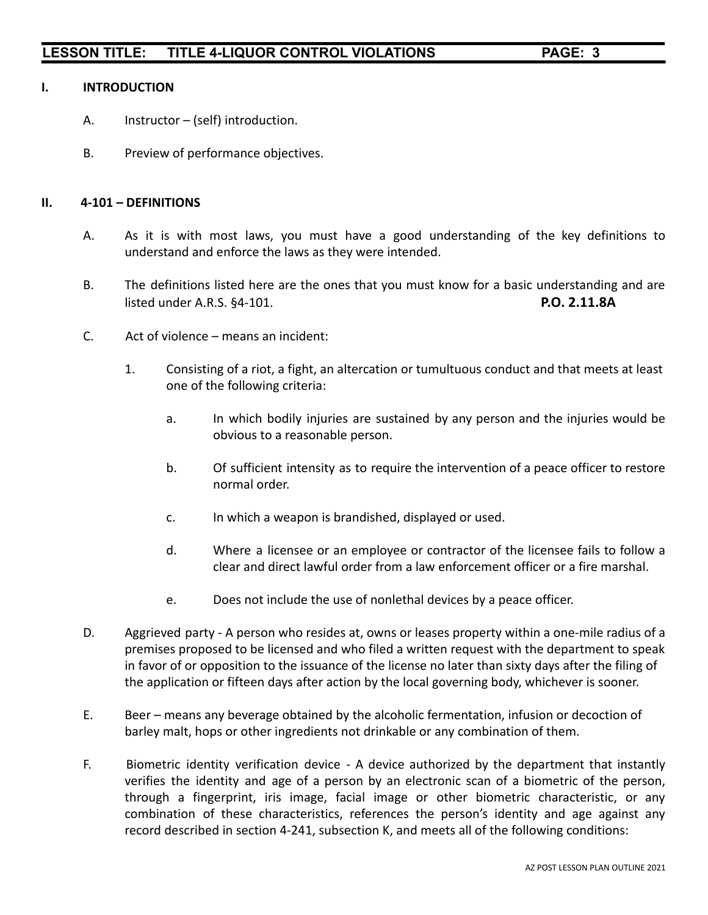#### **I. INTRODUCTION**

- A. Instructor (self) introduction.
- B. Preview of performance objectives.

#### **II. 4-101 – DEFINITIONS**

- A. As it is with most laws, you must have a good understanding of the key definitions to understand and enforce the laws as they were intended.
- B. The definitions listed here are the ones that you must know for a basic understanding and are listed under A.R.S. §4-101. **P.O. 2.11.8A**
- C. Act of violence means an incident:
	- 1. Consisting of a riot, a fight, an altercation or tumultuous conduct and that meets at least one of the following criteria:
		- a. In which bodily injuries are sustained by any person and the injuries would be obvious to a reasonable person.
		- b. Of sufficient intensity as to require the intervention of a peace officer to restore normal order.
		- c. In which a weapon is brandished, displayed or used.
		- d. Where a licensee or an employee or contractor of the licensee fails to follow a clear and direct lawful order from a law enforcement officer or a fire marshal.
		- e. Does not include the use of nonlethal devices by a peace officer.
- D. Aggrieved party A person who resides at, owns or leases property within a one-mile radius of a premises proposed to be licensed and who filed a written request with the department to speak in favor of or opposition to the issuance of the license no later than sixty days after the filing of the application or fifteen days after action by the local governing body, whichever is sooner.
- E. Beer means any beverage obtained by the alcoholic fermentation, infusion or decoction of barley malt, hops or other ingredients not drinkable or any combination of them.
- F. Biometric identity verification device A device authorized by the department that instantly verifies the identity and age of a person by an electronic scan of a biometric of the person, through a fingerprint, iris image, facial image or other biometric characteristic, or any combination of these characteristics, references the person's identity and age against any record described in section 4-241, subsection K, and meets all of the following conditions: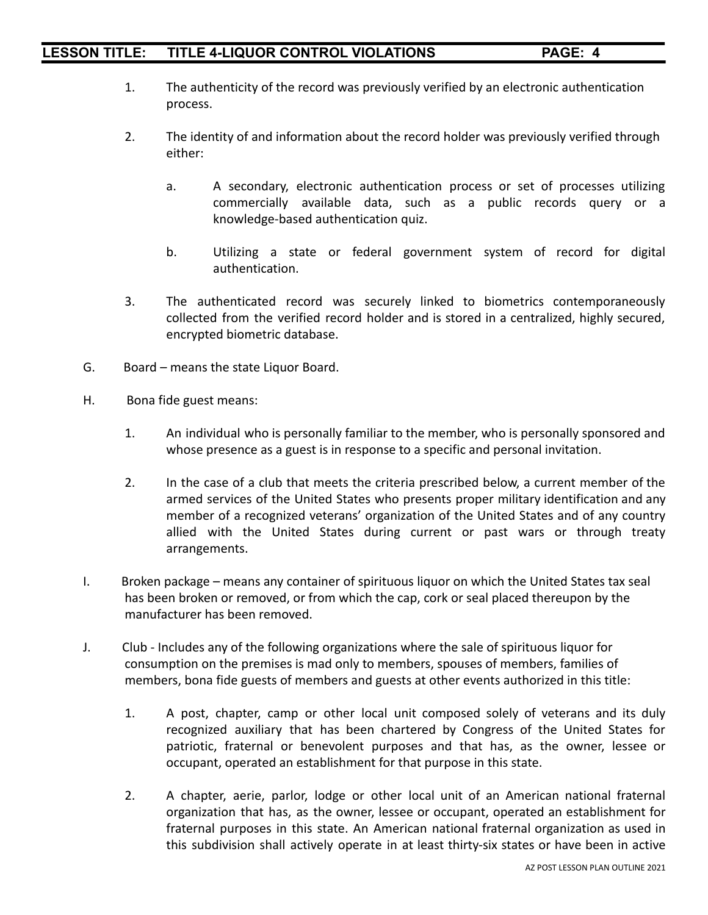- 1. The authenticity of the record was previously verified by an electronic authentication process.
- 2. The identity of and information about the record holder was previously verified through either:
	- a. A secondary, electronic authentication process or set of processes utilizing commercially available data, such as a public records query or a knowledge-based authentication quiz.
	- b. Utilizing a state or federal government system of record for digital authentication.
- 3. The authenticated record was securely linked to biometrics contemporaneously collected from the verified record holder and is stored in a centralized, highly secured, encrypted biometric database.
- G. Board means the state Liquor Board.
- H. Bona fide guest means:
	- 1. An individual who is personally familiar to the member, who is personally sponsored and whose presence as a guest is in response to a specific and personal invitation.
	- 2. In the case of a club that meets the criteria prescribed below, a current member of the armed services of the United States who presents proper military identification and any member of a recognized veterans' organization of the United States and of any country allied with the United States during current or past wars or through treaty arrangements.
- I. Broken package means any container of spirituous liquor on which the United States tax seal has been broken or removed, or from which the cap, cork or seal placed thereupon by the manufacturer has been removed.
- J. Club Includes any of the following organizations where the sale of spirituous liquor for consumption on the premises is mad only to members, spouses of members, families of members, bona fide guests of members and guests at other events authorized in this title:
	- 1. A post, chapter, camp or other local unit composed solely of veterans and its duly recognized auxiliary that has been chartered by Congress of the United States for patriotic, fraternal or benevolent purposes and that has, as the owner, lessee or occupant, operated an establishment for that purpose in this state.
	- 2. A chapter, aerie, parlor, lodge or other local unit of an American national fraternal organization that has, as the owner, lessee or occupant, operated an establishment for fraternal purposes in this state. An American national fraternal organization as used in this subdivision shall actively operate in at least thirty-six states or have been in active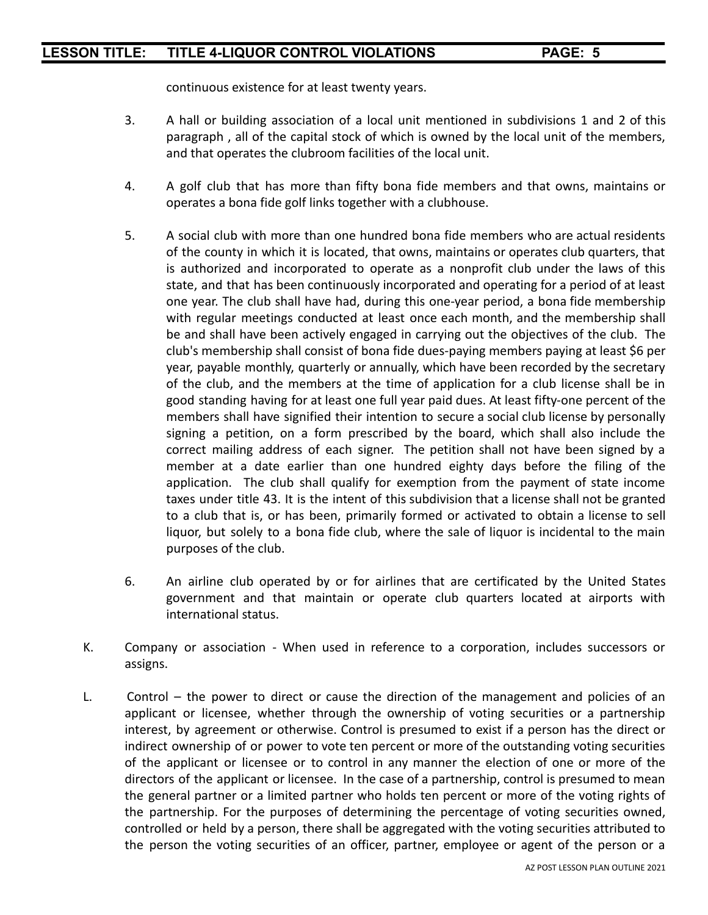continuous existence for at least twenty years.

- 3. A hall or building association of a local unit mentioned in subdivisions 1 and 2 of this paragraph , all of the capital stock of which is owned by the local unit of the members, and that operates the clubroom facilities of the local unit.
- 4. A golf club that has more than fifty bona fide members and that owns, maintains or operates a bona fide golf links together with a clubhouse.
- 5. A social club with more than one hundred bona fide members who are actual residents of the county in which it is located, that owns, maintains or operates club quarters, that is authorized and incorporated to operate as a nonprofit club under the laws of this state, and that has been continuously incorporated and operating for a period of at least one year. The club shall have had, during this one-year period, a bona fide membership with regular meetings conducted at least once each month, and the membership shall be and shall have been actively engaged in carrying out the objectives of the club. The club's membership shall consist of bona fide dues-paying members paying at least \$6 per year, payable monthly, quarterly or annually, which have been recorded by the secretary of the club, and the members at the time of application for a club license shall be in good standing having for at least one full year paid dues. At least fifty-one percent of the members shall have signified their intention to secure a social club license by personally signing a petition, on a form prescribed by the board, which shall also include the correct mailing address of each signer. The petition shall not have been signed by a member at a date earlier than one hundred eighty days before the filing of the application. The club shall qualify for exemption from the payment of state income taxes under title 43. It is the intent of this subdivision that a license shall not be granted to a club that is, or has been, primarily formed or activated to obtain a license to sell liquor, but solely to a bona fide club, where the sale of liquor is incidental to the main purposes of the club.
- 6. An airline club operated by or for airlines that are certificated by the United States government and that maintain or operate club quarters located at airports with international status.
- K. Company or association When used in reference to a corporation, includes successors or assigns.
- L. Control the power to direct or cause the direction of the management and policies of an applicant or licensee, whether through the ownership of voting securities or a partnership interest, by agreement or otherwise. Control is presumed to exist if a person has the direct or indirect ownership of or power to vote ten percent or more of the outstanding voting securities of the applicant or licensee or to control in any manner the election of one or more of the directors of the applicant or licensee. In the case of a partnership, control is presumed to mean the general partner or a limited partner who holds ten percent or more of the voting rights of the partnership. For the purposes of determining the percentage of voting securities owned, controlled or held by a person, there shall be aggregated with the voting securities attributed to the person the voting securities of an officer, partner, employee or agent of the person or a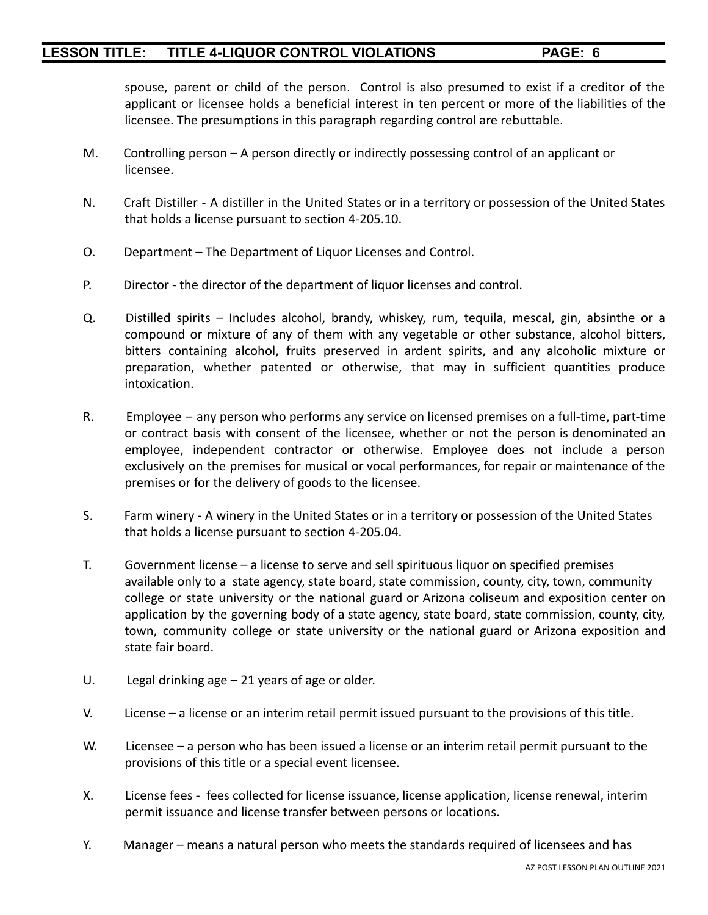spouse, parent or child of the person. Control is also presumed to exist if a creditor of the applicant or licensee holds a beneficial interest in ten percent or more of the liabilities of the licensee. The presumptions in this paragraph regarding control are rebuttable.

- M. Controlling person A person directly or indirectly possessing control of an applicant or licensee.
- N. Craft Distiller A distiller in the United States or in a territory or possession of the United States that holds a license pursuant to section 4-205.10.
- O. Department The Department of Liquor Licenses and Control.
- P. Director the director of the department of liquor licenses and control.
- Q. Distilled spirits Includes alcohol, brandy, whiskey, rum, tequila, mescal, gin, absinthe or a compound or mixture of any of them with any vegetable or other substance, alcohol bitters, bitters containing alcohol, fruits preserved in ardent spirits, and any alcoholic mixture or preparation, whether patented or otherwise, that may in sufficient quantities produce intoxication.
- R. Employee any person who performs any service on licensed premises on a full-time, part-time or contract basis with consent of the licensee, whether or not the person is denominated an employee, independent contractor or otherwise. Employee does not include a person exclusively on the premises for musical or vocal performances, for repair or maintenance of the premises or for the delivery of goods to the licensee.
- S. Farm winery A winery in the United States or in a territory or possession of the United States that holds a license pursuant to section 4-205.04.
- T. Government license a license to serve and sell spirituous liquor on specified premises available only to a state agency, state board, state commission, county, city, town, community college or state university or the national guard or Arizona coliseum and exposition center on application by the governing body of a state agency, state board, state commission, county, city, town, community college or state university or the national guard or Arizona exposition and state fair board.
- U. Legal drinking age 21 years of age or older.
- V. License a license or an interim retail permit issued pursuant to the provisions of this title.
- W. Licensee a person who has been issued a license or an interim retail permit pursuant to the provisions of this title or a special event licensee.
- X. License fees fees collected for license issuance, license application, license renewal, interim permit issuance and license transfer between persons or locations.
- Y. Manager means a natural person who meets the standards required of licensees and has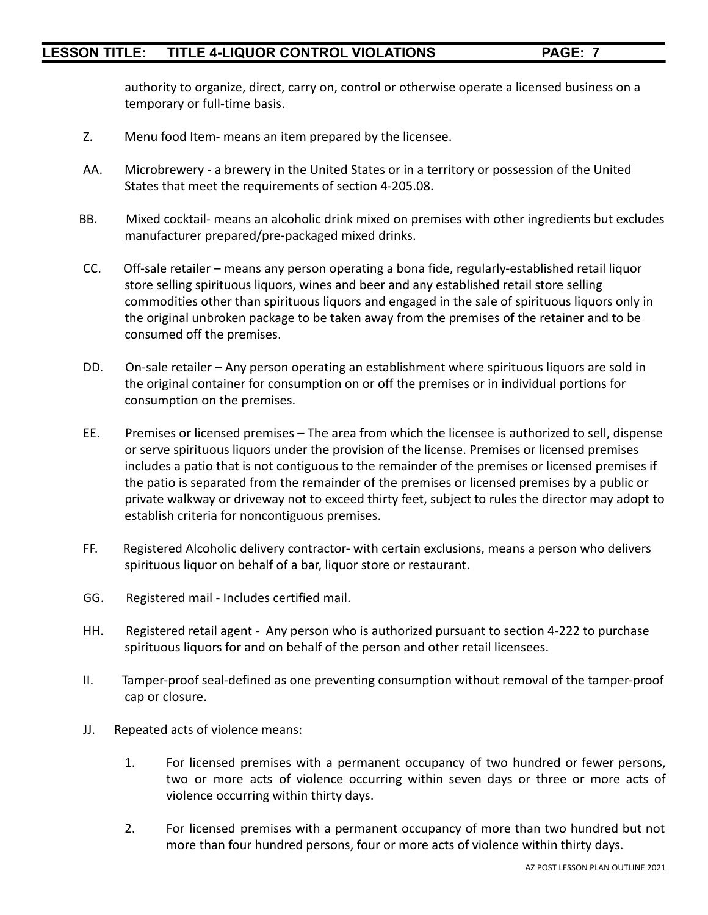authority to organize, direct, carry on, control or otherwise operate a licensed business on a temporary or full-time basis.

- Z. Menu food Item- means an item prepared by the licensee.
- AA. Microbrewery a brewery in the United States or in a territory or possession of the United States that meet the requirements of section 4-205.08.
- BB. Mixed cocktail- means an alcoholic drink mixed on premises with other ingredients but excludes manufacturer prepared/pre-packaged mixed drinks.
- CC. Off-sale retailer means any person operating a bona fide, regularly-established retail liquor store selling spirituous liquors, wines and beer and any established retail store selling commodities other than spirituous liquors and engaged in the sale of spirituous liquors only in the original unbroken package to be taken away from the premises of the retainer and to be consumed off the premises.
- DD. On-sale retailer Any person operating an establishment where spirituous liquors are sold in the original container for consumption on or off the premises or in individual portions for consumption on the premises.
- EE. Premises or licensed premises The area from which the licensee is authorized to sell, dispense or serve spirituous liquors under the provision of the license. Premises or licensed premises includes a patio that is not contiguous to the remainder of the premises or licensed premises if the patio is separated from the remainder of the premises or licensed premises by a public or private walkway or driveway not to exceed thirty feet, subject to rules the director may adopt to establish criteria for noncontiguous premises.
- FF. Registered Alcoholic delivery contractor- with certain exclusions, means a person who delivers spirituous liquor on behalf of a bar, liquor store or restaurant.
- GG. Registered mail Includes certified mail.
- HH. Registered retail agent Any person who is authorized pursuant to section 4-222 to purchase spirituous liquors for and on behalf of the person and other retail licensees.
- II. Tamper-proof seal-defined as one preventing consumption without removal of the tamper-proof cap or closure.
- JJ. Repeated acts of violence means:
	- 1. For licensed premises with a permanent occupancy of two hundred or fewer persons, two or more acts of violence occurring within seven days or three or more acts of violence occurring within thirty days.
	- 2. For licensed premises with a permanent occupancy of more than two hundred but not more than four hundred persons, four or more acts of violence within thirty days.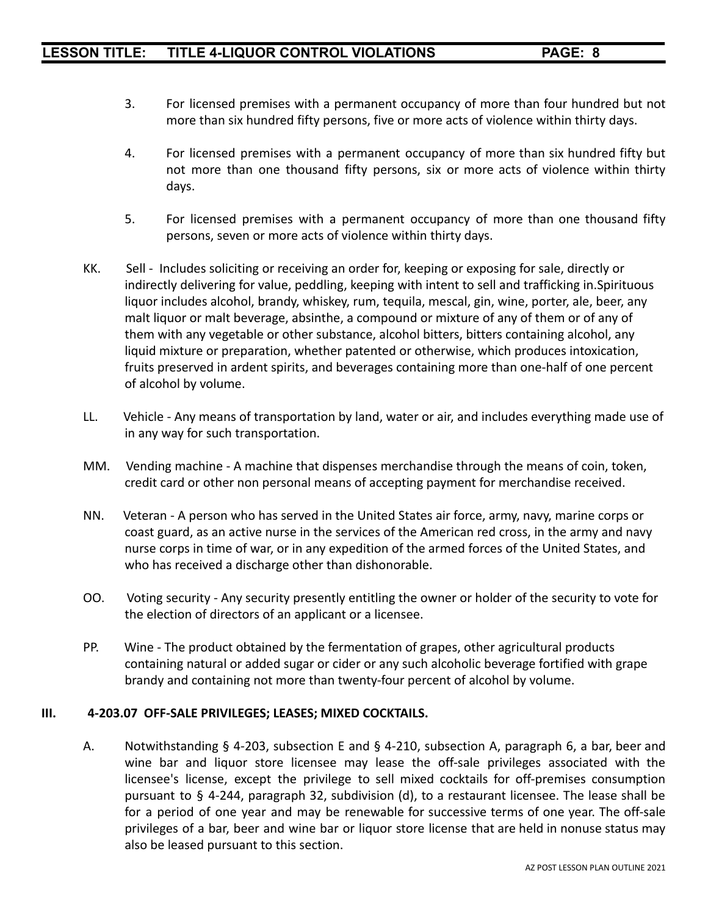- 3. For licensed premises with a permanent occupancy of more than four hundred but not more than six hundred fifty persons, five or more acts of violence within thirty days.
- 4. For licensed premises with a permanent occupancy of more than six hundred fifty but not more than one thousand fifty persons, six or more acts of violence within thirty days.
- 5. For licensed premises with a permanent occupancy of more than one thousand fifty persons, seven or more acts of violence within thirty days.
- KK. Sell Includes soliciting or receiving an order for, keeping or exposing for sale, directly or indirectly delivering for value, peddling, keeping with intent to sell and trafficking in.Spirituous liquor includes alcohol, brandy, whiskey, rum, tequila, mescal, gin, wine, porter, ale, beer, any malt liquor or malt beverage, absinthe, a compound or mixture of any of them or of any of them with any vegetable or other substance, alcohol bitters, bitters containing alcohol, any liquid mixture or preparation, whether patented or otherwise, which produces intoxication, fruits preserved in ardent spirits, and beverages containing more than one-half of one percent of alcohol by volume.
- LL. Vehicle Any means of transportation by land, water or air, and includes everything made use of in any way for such transportation.
- MM. Vending machine A machine that dispenses merchandise through the means of coin, token, credit card or other non personal means of accepting payment for merchandise received.
- NN. Veteran A person who has served in the United States air force, army, navy, marine corps or coast guard, as an active nurse in the services of the American red cross, in the army and navy nurse corps in time of war, or in any expedition of the armed forces of the United States, and who has received a discharge other than dishonorable.
- OO. Voting security Any security presently entitling the owner or holder of the security to vote for the election of directors of an applicant or a licensee.
- PP. Wine The product obtained by the fermentation of grapes, other agricultural products containing natural or added sugar or cider or any such alcoholic beverage fortified with grape brandy and containing not more than twenty-four percent of alcohol by volume.

#### **III. 4-203.07 OFF-SALE PRIVILEGES; LEASES; MIXED COCKTAILS.**

A. Notwithstanding § 4-203, subsection E and § 4-210, subsection A, paragraph 6, a bar, beer and wine bar and liquor store licensee may lease the off-sale privileges associated with the licensee's license, except the privilege to sell mixed cocktails for off-premises consumption pursuant to § 4-244, paragraph 32, subdivision (d), to a restaurant licensee. The lease shall be for a period of one year and may be renewable for successive terms of one year. The off-sale privileges of a bar, beer and wine bar or liquor store license that are held in nonuse status may also be leased pursuant to this section.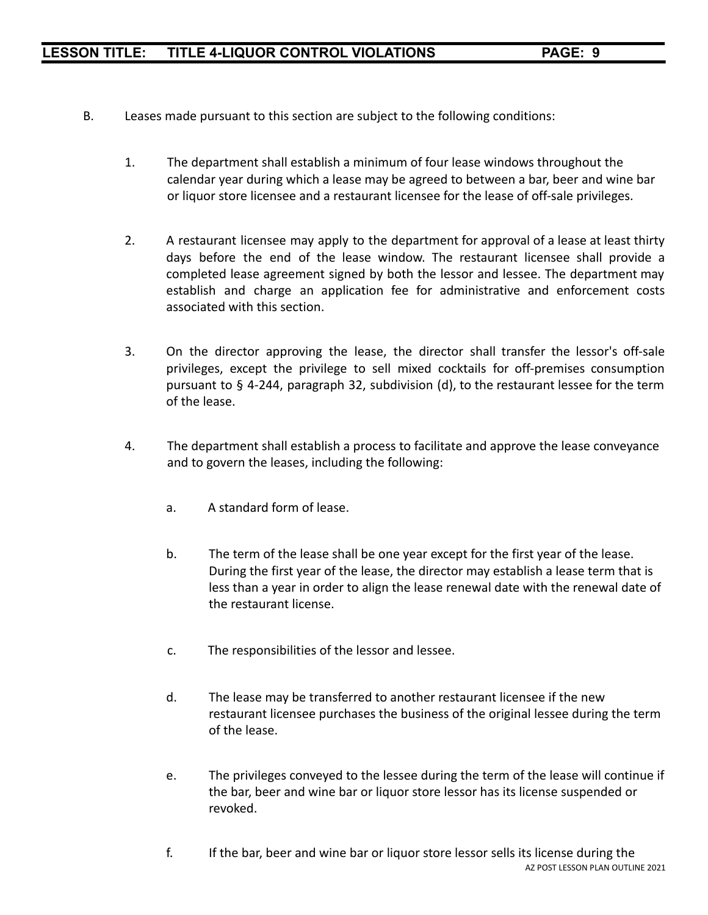- B. Leases made pursuant to this section are subject to the following conditions:
	- 1. The department shall establish a minimum of four lease windows throughout the calendar year during which a lease may be agreed to between a bar, beer and wine bar or liquor store licensee and a restaurant licensee for the lease of off-sale privileges.
	- 2. A restaurant licensee may apply to the department for approval of a lease at least thirty days before the end of the lease window. The restaurant licensee shall provide a completed lease agreement signed by both the lessor and lessee. The department may establish and charge an application fee for administrative and enforcement costs associated with this section.
	- 3. On the director approving the lease, the director shall transfer the lessor's off-sale privileges, except the privilege to sell mixed cocktails for off-premises consumption pursuant to § 4-244, paragraph 32, subdivision (d), to the restaurant lessee for the term of the lease.
	- 4. The department shall establish a process to facilitate and approve the lease conveyance and to govern the leases, including the following:
		- a. A standard form of lease.
		- b. The term of the lease shall be one year except for the first year of the lease. During the first year of the lease, the director may establish a lease term that is less than a year in order to align the lease renewal date with the renewal date of the restaurant license.
		- c. The responsibilities of the lessor and lessee.
		- d. The lease may be transferred to another restaurant licensee if the new restaurant licensee purchases the business of the original lessee during the term of the lease.
		- e. The privileges conveyed to the lessee during the term of the lease will continue if the bar, beer and wine bar or liquor store lessor has its license suspended or revoked.
		- f. If the bar, beer and wine bar or liquor store lessor sells its license during the AZ POST LESSON PLAN OUTLINE 2021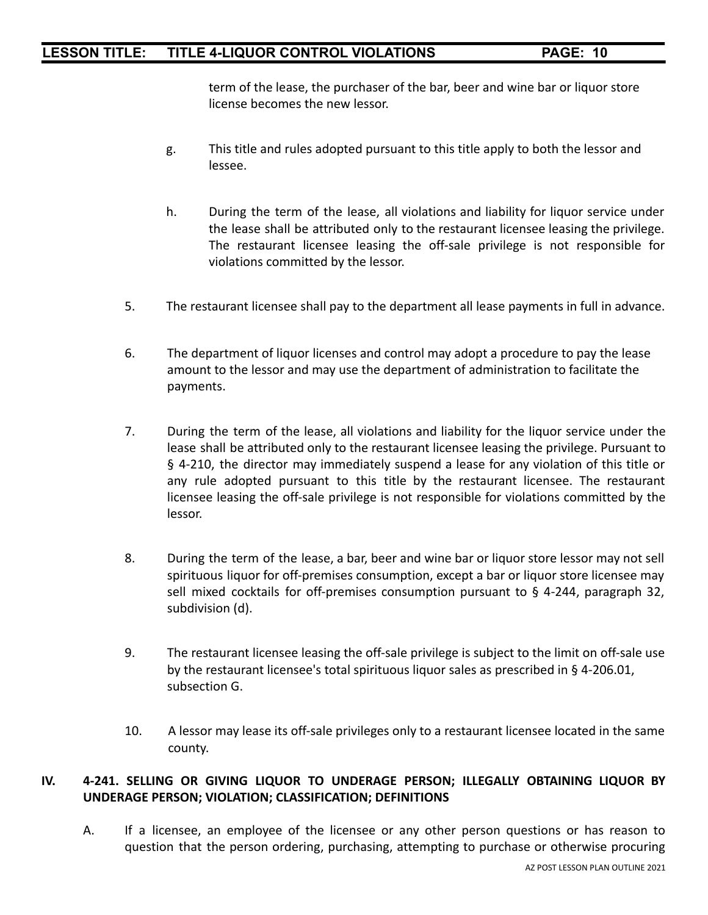term of the lease, the purchaser of the bar, beer and wine bar or liquor store license becomes the new lessor.

- g. This title and rules adopted pursuant to this title apply to both the lessor and lessee.
- h. During the term of the lease, all violations and liability for liquor service under the lease shall be attributed only to the restaurant licensee leasing the privilege. The restaurant licensee leasing the off-sale privilege is not responsible for violations committed by the lessor.
- 5. The restaurant licensee shall pay to the department all lease payments in full in advance.
- 6. The department of liquor licenses and control may adopt a procedure to pay the lease amount to the lessor and may use the department of administration to facilitate the payments.
- 7. During the term of the lease, all violations and liability for the liquor service under the lease shall be attributed only to the restaurant licensee leasing the privilege. Pursuant to § 4-210, the director may immediately suspend a lease for any violation of this title or any rule adopted pursuant to this title by the restaurant licensee. The restaurant licensee leasing the off-sale privilege is not responsible for violations committed by the lessor.
- 8. During the term of the lease, a bar, beer and wine bar or liquor store lessor may not sell spirituous liquor for off-premises consumption, except a bar or liquor store licensee may sell mixed cocktails for off-premises consumption pursuant to § 4-244, paragraph 32, subdivision (d).
- 9. The restaurant licensee leasing the off-sale privilege is subject to the limit on off-sale use by the restaurant licensee's total spirituous liquor sales as prescribed in § 4-206.01, subsection G.
- 10. A lessor may lease its off-sale privileges only to a restaurant licensee located in the same county.

#### **IV. 4-241. SELLING OR GIVING LIQUOR TO UNDERAGE PERSON; ILLEGALLY OBTAINING LIQUOR BY UNDERAGE PERSON; VIOLATION; CLASSIFICATION; DEFINITIONS**

A. If a licensee, an employee of the licensee or any other person questions or has reason to question that the person ordering, purchasing, attempting to purchase or otherwise procuring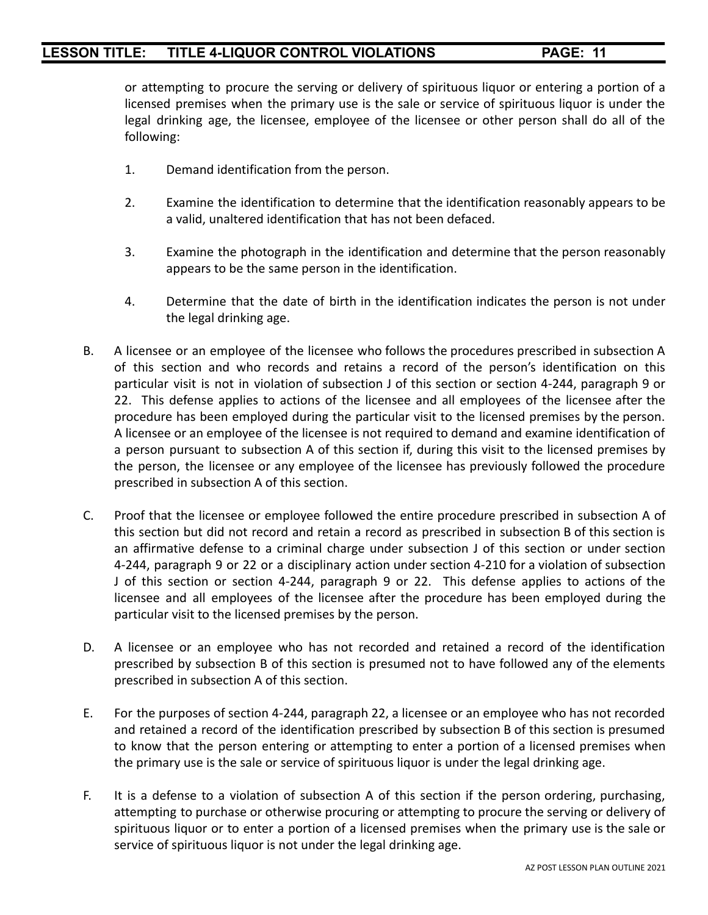or attempting to procure the serving or delivery of spirituous liquor or entering a portion of a licensed premises when the primary use is the sale or service of spirituous liquor is under the legal drinking age, the licensee, employee of the licensee or other person shall do all of the following:

- 1. Demand identification from the person.
- 2. Examine the identification to determine that the identification reasonably appears to be a valid, unaltered identification that has not been defaced.
- 3. Examine the photograph in the identification and determine that the person reasonably appears to be the same person in the identification.
- 4. Determine that the date of birth in the identification indicates the person is not under the legal drinking age.
- B. A licensee or an employee of the licensee who follows the procedures prescribed in subsection A of this section and who records and retains a record of the person's identification on this particular visit is not in violation of subsection J of this section or section 4-244, paragraph 9 or 22. This defense applies to actions of the licensee and all employees of the licensee after the procedure has been employed during the particular visit to the licensed premises by the person. A licensee or an employee of the licensee is not required to demand and examine identification of a person pursuant to subsection A of this section if, during this visit to the licensed premises by the person, the licensee or any employee of the licensee has previously followed the procedure prescribed in subsection A of this section.
- C. Proof that the licensee or employee followed the entire procedure prescribed in subsection A of this section but did not record and retain a record as prescribed in subsection B of this section is an affirmative defense to a criminal charge under subsection J of this section or under section 4-244, paragraph 9 or 22 or a disciplinary action under section 4-210 for a violation of subsection J of this section or section 4-244, paragraph 9 or 22. This defense applies to actions of the licensee and all employees of the licensee after the procedure has been employed during the particular visit to the licensed premises by the person.
- D. A licensee or an employee who has not recorded and retained a record of the identification prescribed by subsection B of this section is presumed not to have followed any of the elements prescribed in subsection A of this section.
- E. For the purposes of section 4-244, paragraph 22, a licensee or an employee who has not recorded and retained a record of the identification prescribed by subsection B of this section is presumed to know that the person entering or attempting to enter a portion of a licensed premises when the primary use is the sale or service of spirituous liquor is under the legal drinking age.
- F. It is a defense to a violation of subsection A of this section if the person ordering, purchasing, attempting to purchase or otherwise procuring or attempting to procure the serving or delivery of spirituous liquor or to enter a portion of a licensed premises when the primary use is the sale or service of spirituous liquor is not under the legal drinking age.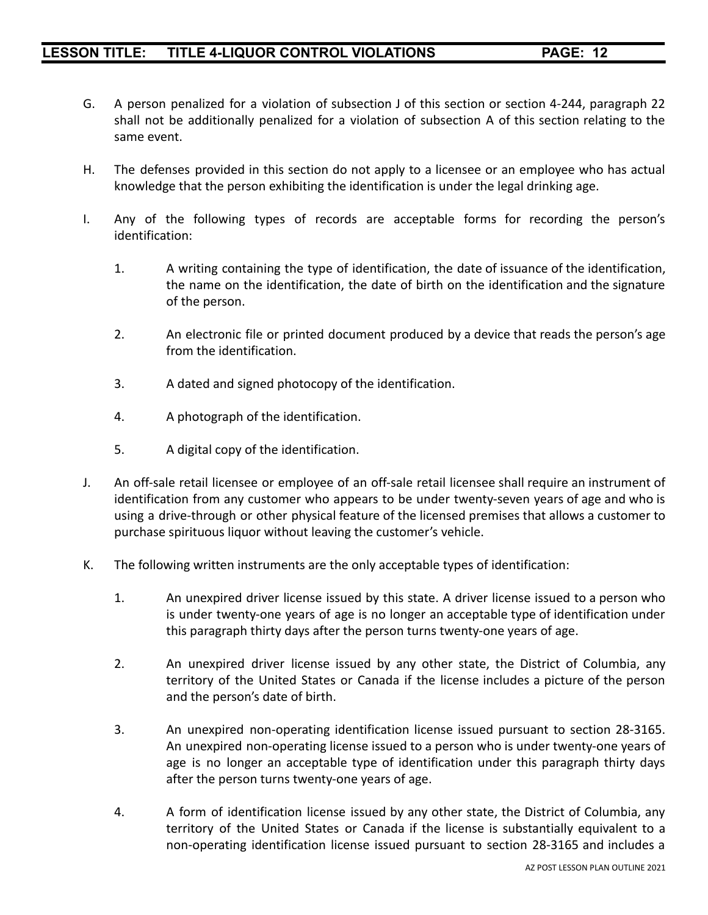- G. A person penalized for a violation of subsection J of this section or section 4-244, paragraph 22 shall not be additionally penalized for a violation of subsection A of this section relating to the same event.
- H. The defenses provided in this section do not apply to a licensee or an employee who has actual knowledge that the person exhibiting the identification is under the legal drinking age.
- I. Any of the following types of records are acceptable forms for recording the person's identification:
	- 1. A writing containing the type of identification, the date of issuance of the identification, the name on the identification, the date of birth on the identification and the signature of the person.
	- 2. An electronic file or printed document produced by a device that reads the person's age from the identification.
	- 3. A dated and signed photocopy of the identification.
	- 4. A photograph of the identification.
	- 5. A digital copy of the identification.
- J. An off-sale retail licensee or employee of an off-sale retail licensee shall require an instrument of identification from any customer who appears to be under twenty-seven years of age and who is using a drive-through or other physical feature of the licensed premises that allows a customer to purchase spirituous liquor without leaving the customer's vehicle.
- K. The following written instruments are the only acceptable types of identification:
	- 1. An unexpired driver license issued by this state. A driver license issued to a person who is under twenty-one years of age is no longer an acceptable type of identification under this paragraph thirty days after the person turns twenty-one years of age.
	- 2. An unexpired driver license issued by any other state, the District of Columbia, any territory of the United States or Canada if the license includes a picture of the person and the person's date of birth.
	- 3. An unexpired non-operating identification license issued pursuant to section 28-3165. An unexpired non-operating license issued to a person who is under twenty-one years of age is no longer an acceptable type of identification under this paragraph thirty days after the person turns twenty-one years of age.
	- 4. A form of identification license issued by any other state, the District of Columbia, any territory of the United States or Canada if the license is substantially equivalent to a non-operating identification license issued pursuant to section 28-3165 and includes a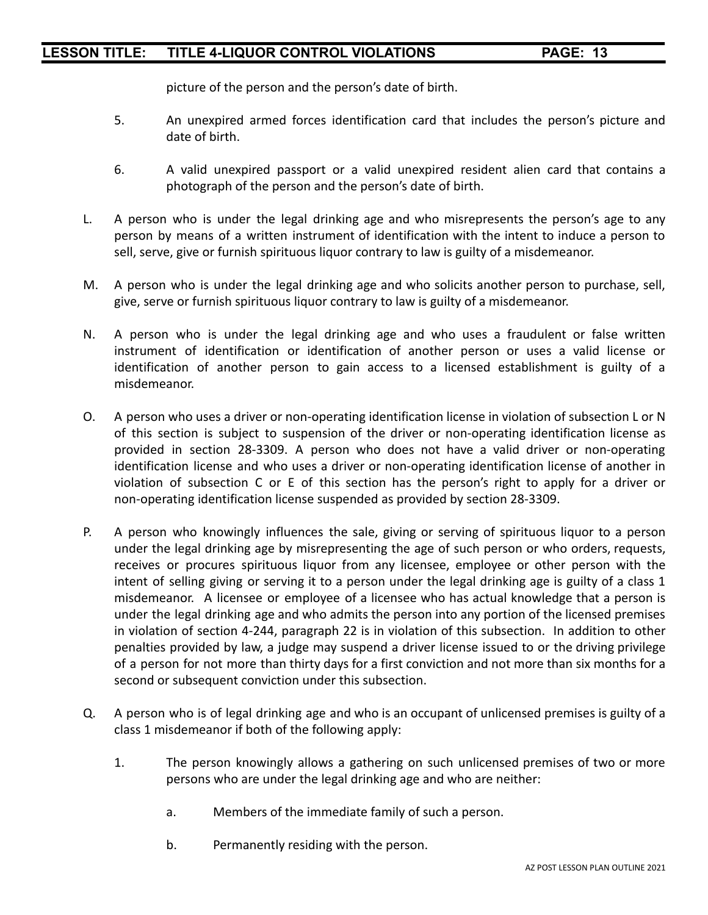picture of the person and the person's date of birth.

- 5. An unexpired armed forces identification card that includes the person's picture and date of birth.
- 6. A valid unexpired passport or a valid unexpired resident alien card that contains a photograph of the person and the person's date of birth.
- L. A person who is under the legal drinking age and who misrepresents the person's age to any person by means of a written instrument of identification with the intent to induce a person to sell, serve, give or furnish spirituous liquor contrary to law is guilty of a misdemeanor.
- M. A person who is under the legal drinking age and who solicits another person to purchase, sell, give, serve or furnish spirituous liquor contrary to law is guilty of a misdemeanor.
- N. A person who is under the legal drinking age and who uses a fraudulent or false written instrument of identification or identification of another person or uses a valid license or identification of another person to gain access to a licensed establishment is guilty of a misdemeanor.
- O. A person who uses a driver or non-operating identification license in violation of subsection L or N of this section is subject to suspension of the driver or non-operating identification license as provided in section 28-3309. A person who does not have a valid driver or non-operating identification license and who uses a driver or non-operating identification license of another in violation of subsection C or E of this section has the person's right to apply for a driver or non-operating identification license suspended as provided by section 28-3309.
- P. A person who knowingly influences the sale, giving or serving of spirituous liquor to a person under the legal drinking age by misrepresenting the age of such person or who orders, requests, receives or procures spirituous liquor from any licensee, employee or other person with the intent of selling giving or serving it to a person under the legal drinking age is guilty of a class 1 misdemeanor. A licensee or employee of a licensee who has actual knowledge that a person is under the legal drinking age and who admits the person into any portion of the licensed premises in violation of section 4-244, paragraph 22 is in violation of this subsection. In addition to other penalties provided by law, a judge may suspend a driver license issued to or the driving privilege of a person for not more than thirty days for a first conviction and not more than six months for a second or subsequent conviction under this subsection.
- Q. A person who is of legal drinking age and who is an occupant of unlicensed premises is guilty of a class 1 misdemeanor if both of the following apply:
	- 1. The person knowingly allows a gathering on such unlicensed premises of two or more persons who are under the legal drinking age and who are neither:
		- a. Members of the immediate family of such a person.
		- b. Permanently residing with the person.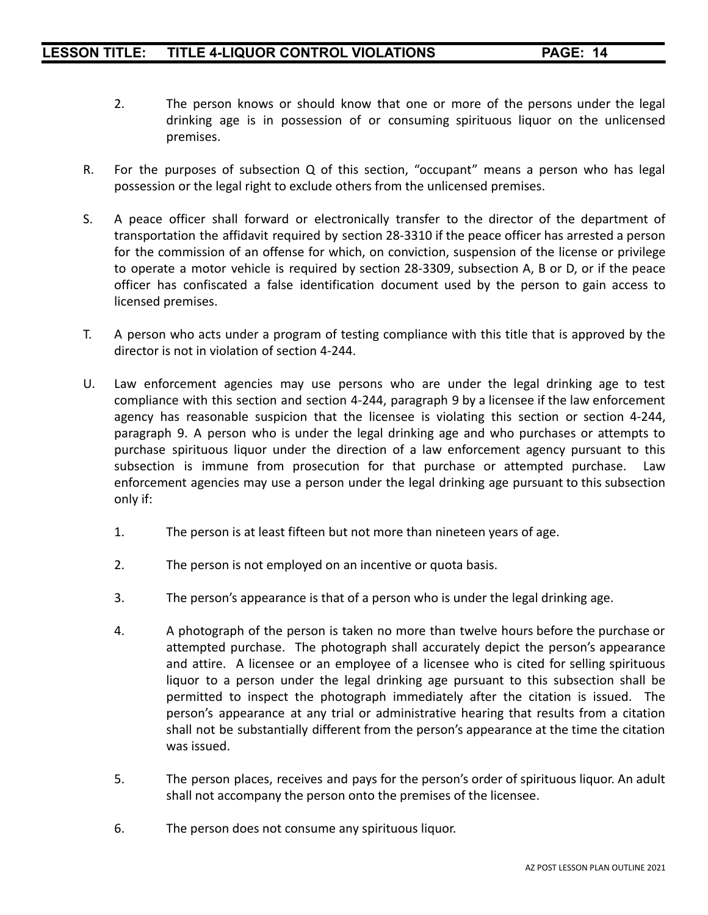- 2. The person knows or should know that one or more of the persons under the legal drinking age is in possession of or consuming spirituous liquor on the unlicensed premises.
- R. For the purposes of subsection Q of this section, "occupant" means a person who has legal possession or the legal right to exclude others from the unlicensed premises.
- S. A peace officer shall forward or electronically transfer to the director of the department of transportation the affidavit required by section 28-3310 if the peace officer has arrested a person for the commission of an offense for which, on conviction, suspension of the license or privilege to operate a motor vehicle is required by section 28-3309, subsection A, B or D, or if the peace officer has confiscated a false identification document used by the person to gain access to licensed premises.
- T. A person who acts under a program of testing compliance with this title that is approved by the director is not in violation of section 4-244.
- U. Law enforcement agencies may use persons who are under the legal drinking age to test compliance with this section and section 4-244, paragraph 9 by a licensee if the law enforcement agency has reasonable suspicion that the licensee is violating this section or section 4-244, paragraph 9. A person who is under the legal drinking age and who purchases or attempts to purchase spirituous liquor under the direction of a law enforcement agency pursuant to this subsection is immune from prosecution for that purchase or attempted purchase. Law enforcement agencies may use a person under the legal drinking age pursuant to this subsection only if:
	- 1. The person is at least fifteen but not more than nineteen years of age.
	- 2. The person is not employed on an incentive or quota basis.
	- 3. The person's appearance is that of a person who is under the legal drinking age.
	- 4. A photograph of the person is taken no more than twelve hours before the purchase or attempted purchase. The photograph shall accurately depict the person's appearance and attire. A licensee or an employee of a licensee who is cited for selling spirituous liquor to a person under the legal drinking age pursuant to this subsection shall be permitted to inspect the photograph immediately after the citation is issued. The person's appearance at any trial or administrative hearing that results from a citation shall not be substantially different from the person's appearance at the time the citation was issued.
	- 5. The person places, receives and pays for the person's order of spirituous liquor. An adult shall not accompany the person onto the premises of the licensee.
	- 6. The person does not consume any spirituous liquor.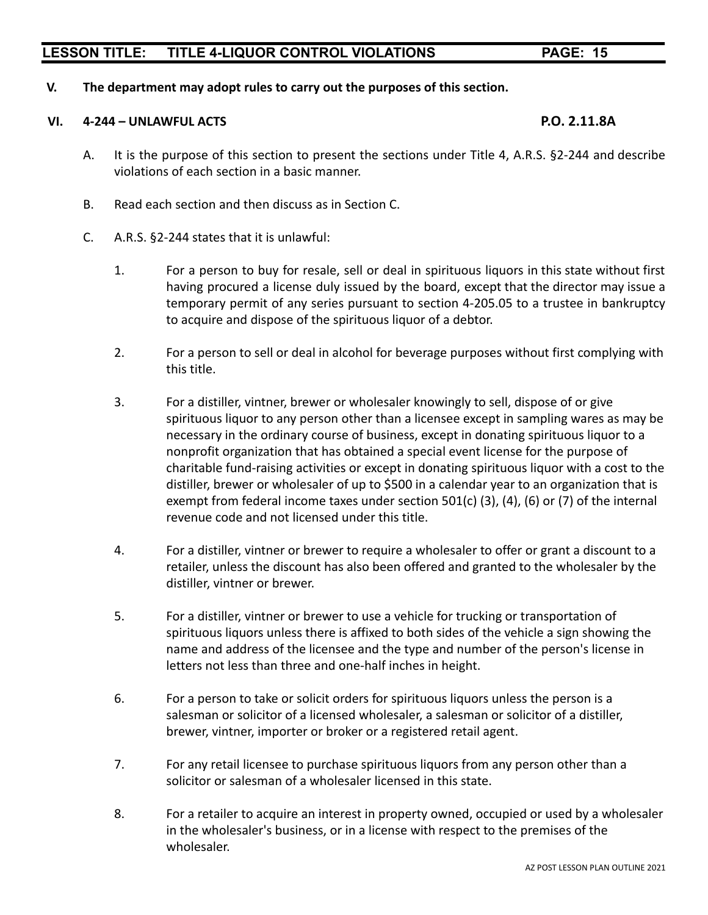#### **V. The department may adopt rules to carry out the purposes of this section.**

#### **VI. 4-244 – UNLAWFUL ACTS P.O. 2.11.8A**

- A. It is the purpose of this section to present the sections under Title 4, A.R.S. §2-244 and describe violations of each section in a basic manner.
- B. Read each section and then discuss as in Section C.
- C. A.R.S. §2-244 states that it is unlawful:
	- 1. For a person to buy for resale, sell or deal in spirituous liquors in this state without first having procured a license duly issued by the board, except that the director may issue a temporary permit of any series pursuant to section 4-205.05 to a trustee in bankruptcy to acquire and dispose of the spirituous liquor of a debtor.
	- 2. For a person to sell or deal in alcohol for beverage purposes without first complying with this title.
	- 3. For a distiller, vintner, brewer or wholesaler knowingly to sell, dispose of or give spirituous liquor to any person other than a licensee except in sampling wares as may be necessary in the ordinary course of business, except in donating spirituous liquor to a nonprofit organization that has obtained a special event license for the purpose of charitable fund-raising activities or except in donating spirituous liquor with a cost to the distiller, brewer or wholesaler of up to \$500 in a calendar year to an organization that is exempt from federal income taxes under section 501(c) (3), (4), (6) or (7) of the internal revenue code and not licensed under this title.
	- 4. For a distiller, vintner or brewer to require a wholesaler to offer or grant a discount to a retailer, unless the discount has also been offered and granted to the wholesaler by the distiller, vintner or brewer.
	- 5. For a distiller, vintner or brewer to use a vehicle for trucking or transportation of spirituous liquors unless there is affixed to both sides of the vehicle a sign showing the name and address of the licensee and the type and number of the person's license in letters not less than three and one-half inches in height.
	- 6. For a person to take or solicit orders for spirituous liquors unless the person is a salesman or solicitor of a licensed wholesaler, a salesman or solicitor of a distiller, brewer, vintner, importer or broker or a registered retail agent.
	- 7. For any retail licensee to purchase spirituous liquors from any person other than a solicitor or salesman of a wholesaler licensed in this state.
	- 8. For a retailer to acquire an interest in property owned, occupied or used by a wholesaler in the wholesaler's business, or in a license with respect to the premises of the wholesaler.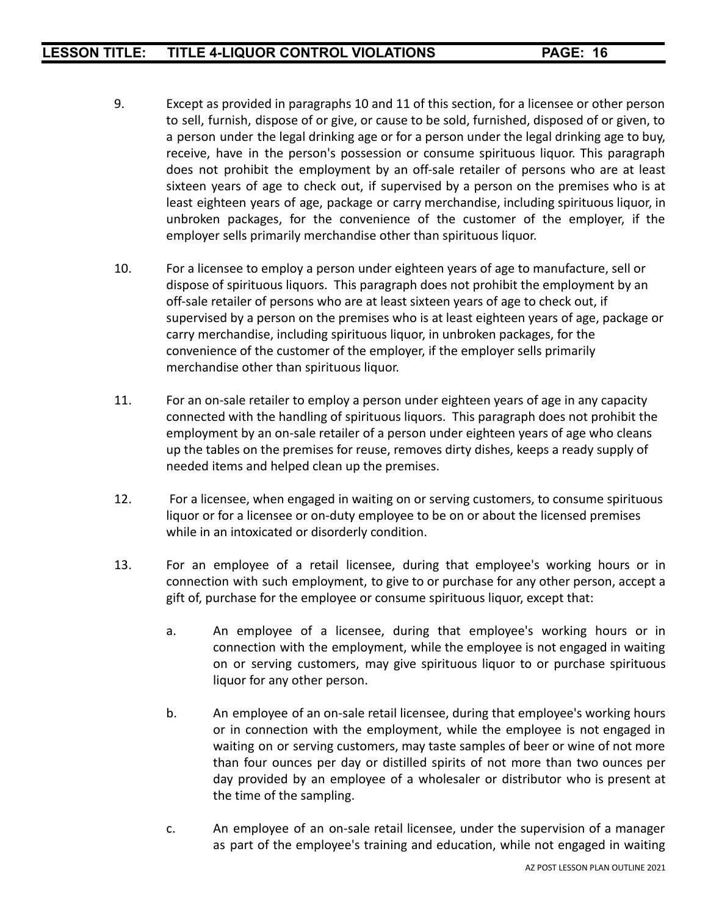- 9. Except as provided in paragraphs 10 and 11 of this section, for a licensee or other person to sell, furnish, dispose of or give, or cause to be sold, furnished, disposed of or given, to a person under the legal drinking age or for a person under the legal drinking age to buy, receive, have in the person's possession or consume spirituous liquor. This paragraph does not prohibit the employment by an off-sale retailer of persons who are at least sixteen years of age to check out, if supervised by a person on the premises who is at least eighteen years of age, package or carry merchandise, including spirituous liquor, in unbroken packages, for the convenience of the customer of the employer, if the employer sells primarily merchandise other than spirituous liquor.
- 10. For a licensee to employ a person under eighteen years of age to manufacture, sell or dispose of spirituous liquors. This paragraph does not prohibit the employment by an off-sale retailer of persons who are at least sixteen years of age to check out, if supervised by a person on the premises who is at least eighteen years of age, package or carry merchandise, including spirituous liquor, in unbroken packages, for the convenience of the customer of the employer, if the employer sells primarily merchandise other than spirituous liquor.
- 11. For an on-sale retailer to employ a person under eighteen years of age in any capacity connected with the handling of spirituous liquors. This paragraph does not prohibit the employment by an on-sale retailer of a person under eighteen years of age who cleans up the tables on the premises for reuse, removes dirty dishes, keeps a ready supply of needed items and helped clean up the premises.
- 12. For a licensee, when engaged in waiting on or serving customers, to consume spirituous liquor or for a licensee or on-duty employee to be on or about the licensed premises while in an intoxicated or disorderly condition.
- 13. For an employee of a retail licensee, during that employee's working hours or in connection with such employment, to give to or purchase for any other person, accept a gift of, purchase for the employee or consume spirituous liquor, except that:
	- a. An employee of a licensee, during that employee's working hours or in connection with the employment, while the employee is not engaged in waiting on or serving customers, may give spirituous liquor to or purchase spirituous liquor for any other person.
	- b. An employee of an on-sale retail licensee, during that employee's working hours or in connection with the employment, while the employee is not engaged in waiting on or serving customers, may taste samples of beer or wine of not more than four ounces per day or distilled spirits of not more than two ounces per day provided by an employee of a wholesaler or distributor who is present at the time of the sampling.
	- c. An employee of an on-sale retail licensee, under the supervision of a manager as part of the employee's training and education, while not engaged in waiting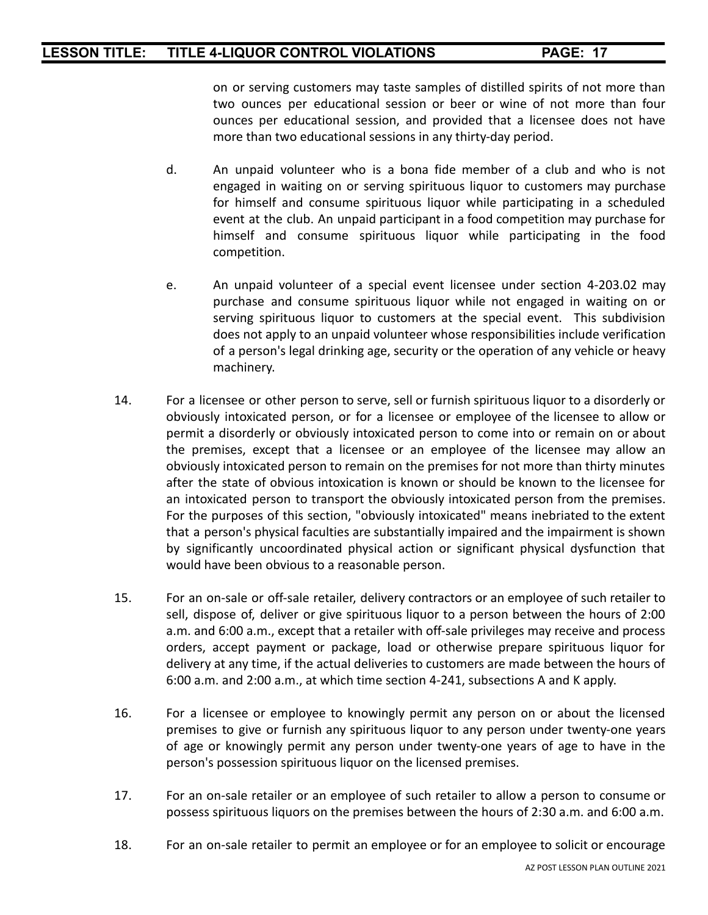on or serving customers may taste samples of distilled spirits of not more than two ounces per educational session or beer or wine of not more than four ounces per educational session, and provided that a licensee does not have more than two educational sessions in any thirty-day period.

- d. An unpaid volunteer who is a bona fide member of a club and who is not engaged in waiting on or serving spirituous liquor to customers may purchase for himself and consume spirituous liquor while participating in a scheduled event at the club. An unpaid participant in a food competition may purchase for himself and consume spirituous liquor while participating in the food competition.
- e. An unpaid volunteer of a special event licensee under section 4-203.02 may purchase and consume spirituous liquor while not engaged in waiting on or serving spirituous liquor to customers at the special event. This subdivision does not apply to an unpaid volunteer whose responsibilities include verification of a person's legal drinking age, security or the operation of any vehicle or heavy machinery.
- 14. For a licensee or other person to serve, sell or furnish spirituous liquor to a disorderly or obviously intoxicated person, or for a licensee or employee of the licensee to allow or permit a disorderly or obviously intoxicated person to come into or remain on or about the premises, except that a licensee or an employee of the licensee may allow an obviously intoxicated person to remain on the premises for not more than thirty minutes after the state of obvious intoxication is known or should be known to the licensee for an intoxicated person to transport the obviously intoxicated person from the premises. For the purposes of this section, "obviously intoxicated" means inebriated to the extent that a person's physical faculties are substantially impaired and the impairment is shown by significantly uncoordinated physical action or significant physical dysfunction that would have been obvious to a reasonable person.
- 15. For an on-sale or off-sale retailer, delivery contractors or an employee of such retailer to sell, dispose of, deliver or give spirituous liquor to a person between the hours of 2:00 a.m. and 6:00 a.m., except that a retailer with off-sale privileges may receive and process orders, accept payment or package, load or otherwise prepare spirituous liquor for delivery at any time, if the actual deliveries to customers are made between the hours of 6:00 a.m. and 2:00 a.m., at which time section 4-241, subsections A and K apply.
- 16. For a licensee or employee to knowingly permit any person on or about the licensed premises to give or furnish any spirituous liquor to any person under twenty-one years of age or knowingly permit any person under twenty-one years of age to have in the person's possession spirituous liquor on the licensed premises.
- 17. For an on-sale retailer or an employee of such retailer to allow a person to consume or possess spirituous liquors on the premises between the hours of 2:30 a.m. and 6:00 a.m.
- 18. For an on-sale retailer to permit an employee or for an employee to solicit or encourage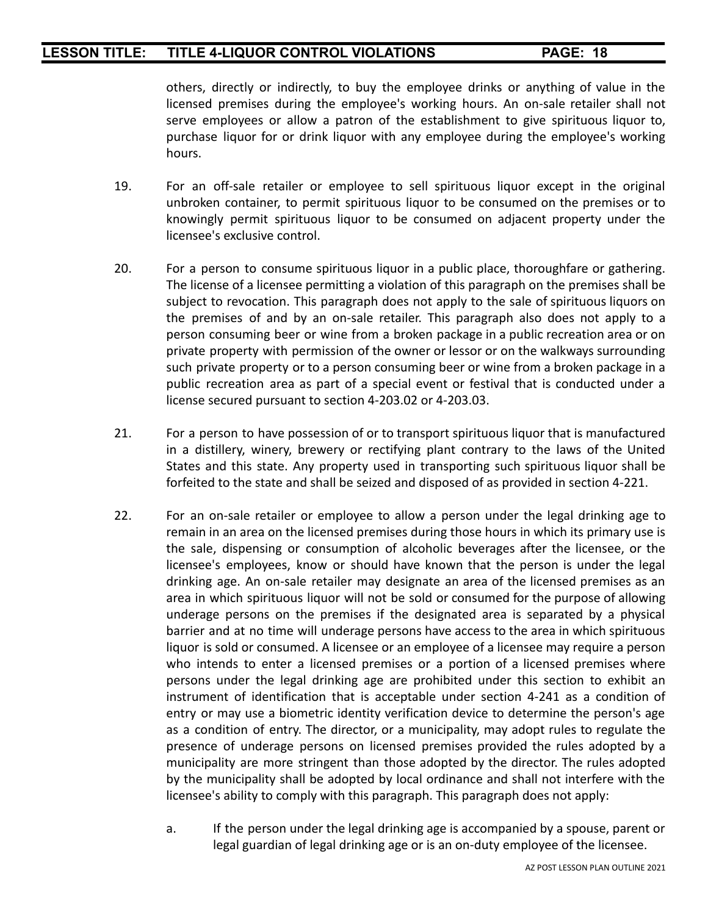others, directly or indirectly, to buy the employee drinks or anything of value in the licensed premises during the employee's working hours. An on-sale retailer shall not serve employees or allow a patron of the establishment to give spirituous liquor to, purchase liquor for or drink liquor with any employee during the employee's working hours.

- 19. For an off-sale retailer or employee to sell spirituous liquor except in the original unbroken container, to permit spirituous liquor to be consumed on the premises or to knowingly permit spirituous liquor to be consumed on adjacent property under the licensee's exclusive control.
- 20. For a person to consume spirituous liquor in a public place, thoroughfare or gathering. The license of a licensee permitting a violation of this paragraph on the premises shall be subject to revocation. This paragraph does not apply to the sale of spirituous liquors on the premises of and by an on-sale retailer. This paragraph also does not apply to a person consuming beer or wine from a broken package in a public recreation area or on private property with permission of the owner or lessor or on the walkways surrounding such private property or to a person consuming beer or wine from a broken package in a public recreation area as part of a special event or festival that is conducted under a license secured pursuant to section 4-203.02 or 4-203.03.
- 21. For a person to have possession of or to transport spirituous liquor that is manufactured in a distillery, winery, brewery or rectifying plant contrary to the laws of the United States and this state. Any property used in transporting such spirituous liquor shall be forfeited to the state and shall be seized and disposed of as provided in section 4-221.
- 22. For an on-sale retailer or employee to allow a person under the legal drinking age to remain in an area on the licensed premises during those hours in which its primary use is the sale, dispensing or consumption of alcoholic beverages after the licensee, or the licensee's employees, know or should have known that the person is under the legal drinking age. An on-sale retailer may designate an area of the licensed premises as an area in which spirituous liquor will not be sold or consumed for the purpose of allowing underage persons on the premises if the designated area is separated by a physical barrier and at no time will underage persons have access to the area in which spirituous liquor is sold or consumed. A licensee or an employee of a licensee may require a person who intends to enter a licensed premises or a portion of a licensed premises where persons under the legal drinking age are prohibited under this section to exhibit an instrument of identification that is acceptable under section 4-241 as a condition of entry or may use a biometric identity verification device to determine the person's age as a condition of entry. The director, or a municipality, may adopt rules to regulate the presence of underage persons on licensed premises provided the rules adopted by a municipality are more stringent than those adopted by the director. The rules adopted by the municipality shall be adopted by local ordinance and shall not interfere with the licensee's ability to comply with this paragraph. This paragraph does not apply:
	- a. If the person under the legal drinking age is accompanied by a spouse, parent or legal guardian of legal drinking age or is an on-duty employee of the licensee.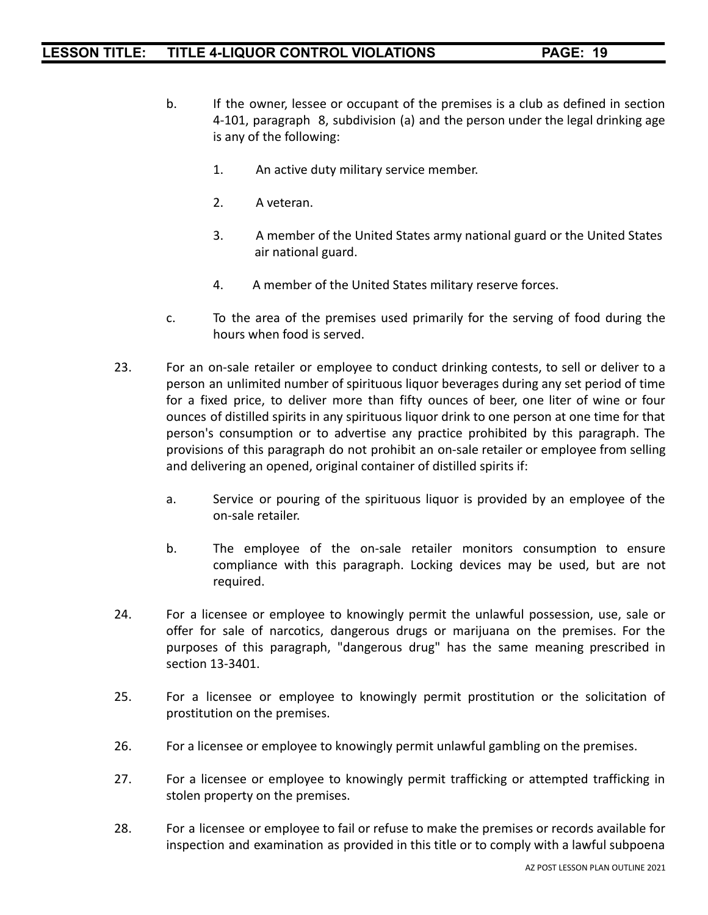- b. If the owner, lessee or occupant of the premises is a club as defined in section 4-101, paragraph 8, subdivision (a) and the person under the legal drinking age is any of the following:
	- 1. An active duty military service member.
	- 2. A veteran.
	- 3. A member of the United States army national guard or the United States air national guard.
	- 4. A member of the United States military reserve forces.
- c. To the area of the premises used primarily for the serving of food during the hours when food is served.
- 23. For an on-sale retailer or employee to conduct drinking contests, to sell or deliver to a person an unlimited number of spirituous liquor beverages during any set period of time for a fixed price, to deliver more than fifty ounces of beer, one liter of wine or four ounces of distilled spirits in any spirituous liquor drink to one person at one time for that person's consumption or to advertise any practice prohibited by this paragraph. The provisions of this paragraph do not prohibit an on-sale retailer or employee from selling and delivering an opened, original container of distilled spirits if:
	- a. Service or pouring of the spirituous liquor is provided by an employee of the on-sale retailer.
	- b. The employee of the on-sale retailer monitors consumption to ensure compliance with this paragraph. Locking devices may be used, but are not required.
- 24. For a licensee or employee to knowingly permit the unlawful possession, use, sale or offer for sale of narcotics, dangerous drugs or marijuana on the premises. For the purposes of this paragraph, "dangerous drug" has the same meaning prescribed in section 13-3401.
- 25. For a licensee or employee to knowingly permit prostitution or the solicitation of prostitution on the premises.
- 26. For a licensee or employee to knowingly permit unlawful gambling on the premises.
- 27. For a licensee or employee to knowingly permit trafficking or attempted trafficking in stolen property on the premises.
- 28. For a licensee or employee to fail or refuse to make the premises or records available for inspection and examination as provided in this title or to comply with a lawful subpoena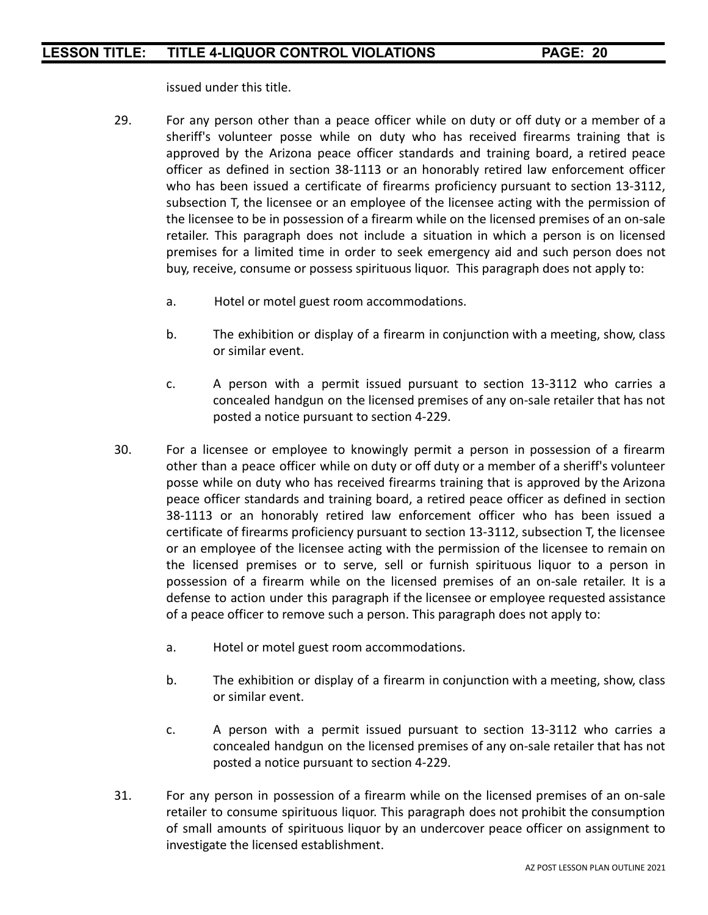issued under this title.

- 29. For any person other than a peace officer while on duty or off duty or a member of a sheriff's volunteer posse while on duty who has received firearms training that is approved by the Arizona peace officer standards and training board, a retired peace officer as defined in section 38-1113 or an honorably retired law enforcement officer who has been issued a certificate of firearms proficiency pursuant to section 13-3112, subsection T, the licensee or an employee of the licensee acting with the permission of the licensee to be in possession of a firearm while on the licensed premises of an on-sale retailer. This paragraph does not include a situation in which a person is on licensed premises for a limited time in order to seek emergency aid and such person does not buy, receive, consume or possess spirituous liquor. This paragraph does not apply to:
	- a. Hotel or motel guest room accommodations.
	- b. The exhibition or display of a firearm in conjunction with a meeting, show, class or similar event.
	- c. A person with a permit issued pursuant to section 13-3112 who carries a concealed handgun on the licensed premises of any on-sale retailer that has not posted a notice pursuant to section 4-229.
- 30. For a licensee or employee to knowingly permit a person in possession of a firearm other than a peace officer while on duty or off duty or a member of a sheriff's volunteer posse while on duty who has received firearms training that is approved by the Arizona peace officer standards and training board, a retired peace officer as defined in section 38-1113 or an honorably retired law enforcement officer who has been issued a certificate of firearms proficiency pursuant to section 13-3112, subsection T, the licensee or an employee of the licensee acting with the permission of the licensee to remain on the licensed premises or to serve, sell or furnish spirituous liquor to a person in possession of a firearm while on the licensed premises of an on-sale retailer. It is a defense to action under this paragraph if the licensee or employee requested assistance of a peace officer to remove such a person. This paragraph does not apply to:
	- a. Hotel or motel guest room accommodations.
	- b. The exhibition or display of a firearm in conjunction with a meeting, show, class or similar event.
	- c. A person with a permit issued pursuant to section 13-3112 who carries a concealed handgun on the licensed premises of any on-sale retailer that has not posted a notice pursuant to section 4-229.
- 31. For any person in possession of a firearm while on the licensed premises of an on-sale retailer to consume spirituous liquor. This paragraph does not prohibit the consumption of small amounts of spirituous liquor by an undercover peace officer on assignment to investigate the licensed establishment.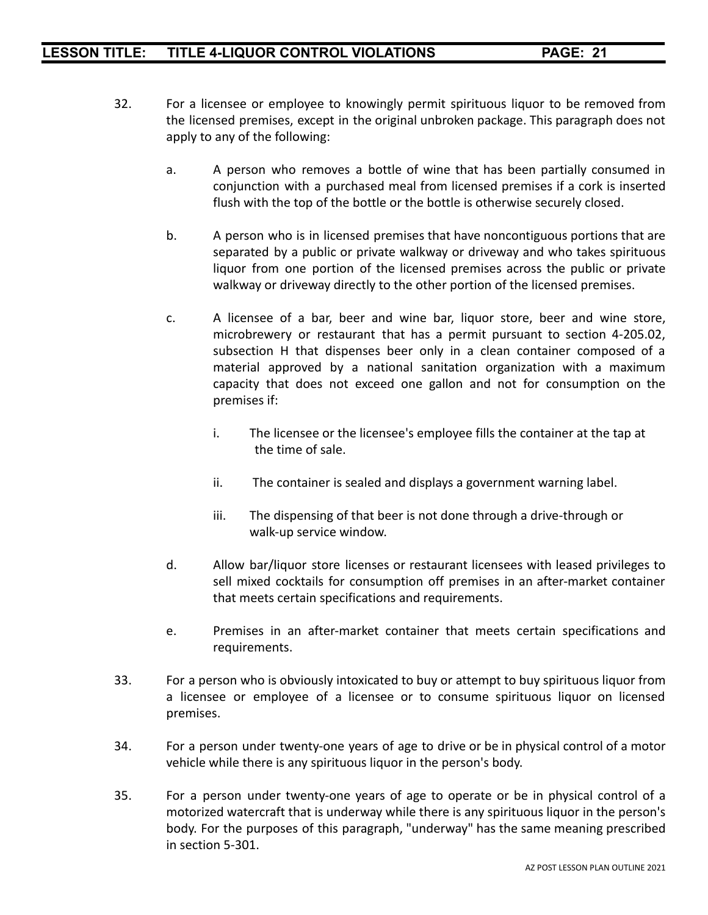- 32. For a licensee or employee to knowingly permit spirituous liquor to be removed from the licensed premises, except in the original unbroken package. This paragraph does not apply to any of the following:
	- a. A person who removes a bottle of wine that has been partially consumed in conjunction with a purchased meal from licensed premises if a cork is inserted flush with the top of the bottle or the bottle is otherwise securely closed.
	- b. A person who is in licensed premises that have noncontiguous portions that are separated by a public or private walkway or driveway and who takes spirituous liquor from one portion of the licensed premises across the public or private walkway or driveway directly to the other portion of the licensed premises.
	- c. A licensee of a bar, beer and wine bar, liquor store, beer and wine store, microbrewery or restaurant that has a permit pursuant to section 4-205.02, subsection H that dispenses beer only in a clean container composed of a material approved by a national sanitation organization with a maximum capacity that does not exceed one gallon and not for consumption on the premises if:
		- i. The licensee or the licensee's employee fills the container at the tap at the time of sale.
		- ii. The container is sealed and displays a government warning label.
		- iii. The dispensing of that beer is not done through a drive-through or walk-up service window.
	- d. Allow bar/liquor store licenses or restaurant licensees with leased privileges to sell mixed cocktails for consumption off premises in an after-market container that meets certain specifications and requirements.
	- e. Premises in an after-market container that meets certain specifications and requirements.
- 33. For a person who is obviously intoxicated to buy or attempt to buy spirituous liquor from a licensee or employee of a licensee or to consume spirituous liquor on licensed premises.
- 34. For a person under twenty-one years of age to drive or be in physical control of a motor vehicle while there is any spirituous liquor in the person's body.
- 35. For a person under twenty-one years of age to operate or be in physical control of a motorized watercraft that is underway while there is any spirituous liquor in the person's body. For the purposes of this paragraph, "underway" has the same meaning prescribed in section 5-301.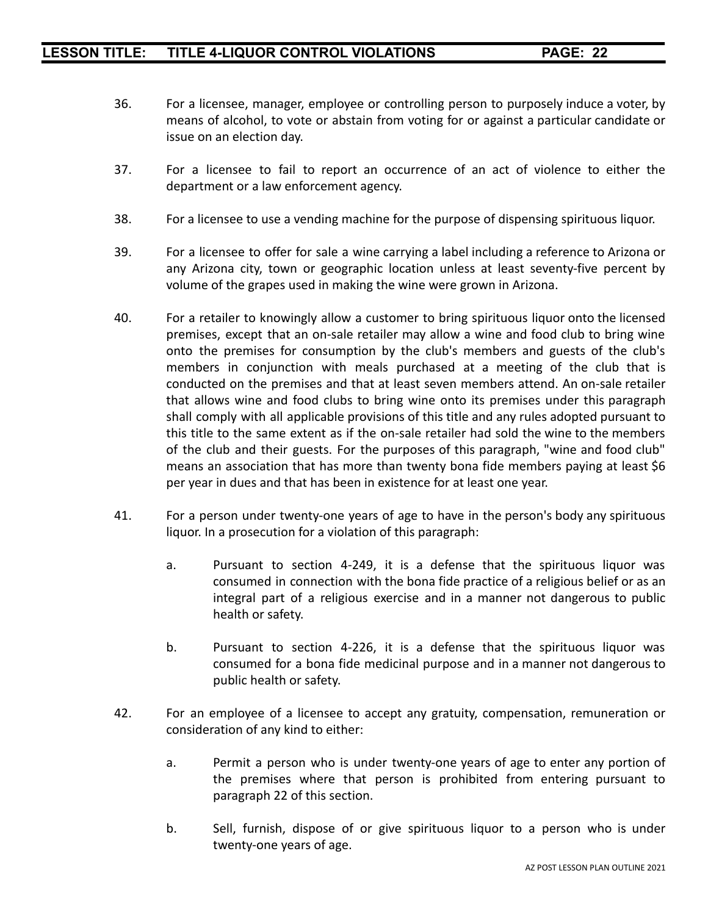- 36. For a licensee, manager, employee or controlling person to purposely induce a voter, by means of alcohol, to vote or abstain from voting for or against a particular candidate or issue on an election day.
- 37. For a licensee to fail to report an occurrence of an act of violence to either the department or a law enforcement agency.
- 38. For a licensee to use a vending machine for the purpose of dispensing spirituous liquor.
- 39. For a licensee to offer for sale a wine carrying a label including a reference to Arizona or any Arizona city, town or geographic location unless at least seventy-five percent by volume of the grapes used in making the wine were grown in Arizona.
- 40. For a retailer to knowingly allow a customer to bring spirituous liquor onto the licensed premises, except that an on-sale retailer may allow a wine and food club to bring wine onto the premises for consumption by the club's members and guests of the club's members in conjunction with meals purchased at a meeting of the club that is conducted on the premises and that at least seven members attend. An on-sale retailer that allows wine and food clubs to bring wine onto its premises under this paragraph shall comply with all applicable provisions of this title and any rules adopted pursuant to this title to the same extent as if the on-sale retailer had sold the wine to the members of the club and their guests. For the purposes of this paragraph, "wine and food club" means an association that has more than twenty bona fide members paying at least \$6 per year in dues and that has been in existence for at least one year.
- 41. For a person under twenty-one years of age to have in the person's body any spirituous liquor. In a prosecution for a violation of this paragraph:
	- a. Pursuant to section 4-249, it is a defense that the spirituous liquor was consumed in connection with the bona fide practice of a religious belief or as an integral part of a religious exercise and in a manner not dangerous to public health or safety.
	- b. Pursuant to section 4-226, it is a defense that the spirituous liquor was consumed for a bona fide medicinal purpose and in a manner not dangerous to public health or safety.
- 42. For an employee of a licensee to accept any gratuity, compensation, remuneration or consideration of any kind to either:
	- a. Permit a person who is under twenty-one years of age to enter any portion of the premises where that person is prohibited from entering pursuant to paragraph 22 of this section.
	- b. Sell, furnish, dispose of or give spirituous liquor to a person who is under twenty-one years of age.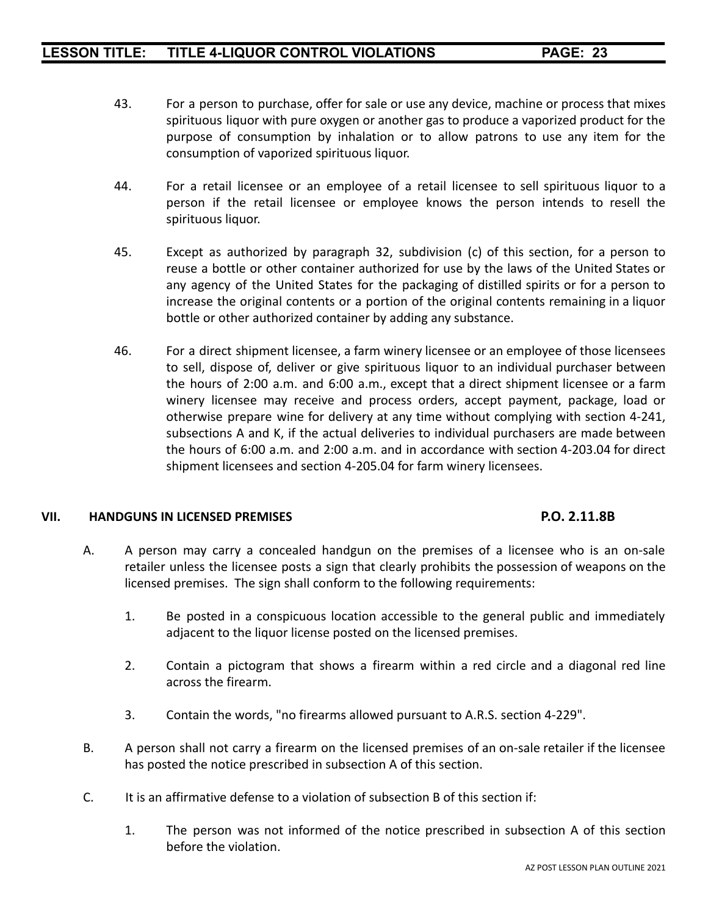- 43. For a person to purchase, offer for sale or use any device, machine or process that mixes spirituous liquor with pure oxygen or another gas to produce a vaporized product for the purpose of consumption by inhalation or to allow patrons to use any item for the consumption of vaporized spirituous liquor.
- 44. For a retail licensee or an employee of a retail licensee to sell spirituous liquor to a person if the retail licensee or employee knows the person intends to resell the spirituous liquor.
- 45. Except as authorized by paragraph 32, subdivision (c) of this section, for a person to reuse a bottle or other container authorized for use by the laws of the United States or any agency of the United States for the packaging of distilled spirits or for a person to increase the original contents or a portion of the original contents remaining in a liquor bottle or other authorized container by adding any substance.
- 46. For a direct shipment licensee, a farm winery licensee or an employee of those licensees to sell, dispose of, deliver or give spirituous liquor to an individual purchaser between the hours of 2:00 a.m. and 6:00 a.m., except that a direct shipment licensee or a farm winery licensee may receive and process orders, accept payment, package, load or otherwise prepare wine for delivery at any time without complying with section 4-241, subsections A and K, if the actual deliveries to individual purchasers are made between the hours of 6:00 a.m. and 2:00 a.m. and in accordance with section 4-203.04 for direct shipment licensees and section 4-205.04 for farm winery licensees.

#### **VII. HANDGUNS IN LICENSED PREMISES P.O. 2.11.8B**

- A. A person may carry a concealed handgun on the premises of a licensee who is an on-sale retailer unless the licensee posts a sign that clearly prohibits the possession of weapons on the licensed premises. The sign shall conform to the following requirements:
	- 1. Be posted in a conspicuous location accessible to the general public and immediately adjacent to the liquor license posted on the licensed premises.
	- 2. Contain a pictogram that shows a firearm within a red circle and a diagonal red line across the firearm.
	- 3. Contain the words, "no firearms allowed pursuant to A.R.S. section 4-229".
- B. A person shall not carry a firearm on the licensed premises of an on-sale retailer if the licensee has posted the notice prescribed in subsection A of this section.
- C. It is an affirmative defense to a violation of subsection B of this section if:
	- 1. The person was not informed of the notice prescribed in subsection A of this section before the violation.